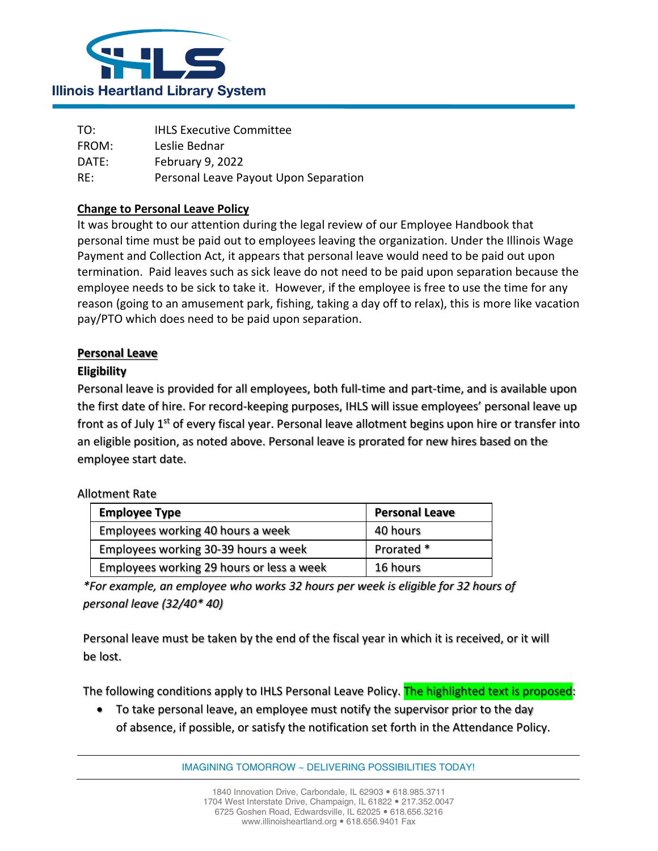

| TO:   | <b>IHLS Executive Committee</b>       |
|-------|---------------------------------------|
| FROM: | Leslie Bednar                         |
| DATE: | February 9, 2022                      |
| RE:   | Personal Leave Payout Upon Separation |

## **Change to Personal Leave Policy**

It was brought to our attention during the legal review of our Employee Handbook that personal time must be paid out to employees leaving the organization. Under the Illinois Wage Payment and Collection Act, it appears that personal leave would need to be paid out upon termination. Paid leaves such as sick leave do not need to be paid upon separation because the employee needs to be sick to take it. However, if the employee is free to use the time for any reason (going to an amusement park, fishing, taking a day off to relax), this is more like vacation pay/PTO which does need to be paid upon separation.

## **Personal Leave**

### **Eligibility**

Personal leave is provided for all employees, both full-time and part-time, and is available upon the first date of hire. For record-keeping purposes, IHLS will issue employees' personal leave up front as of July  $1<sup>st</sup>$  of every fiscal year. Personal leave allotment begins upon hire or transfer into an eligible position, as noted above. Personal leave is prorated for new hires based on the employee start date.

#### Allotment Rate

| <b>Employee Type</b>                      | <b>Personal Leave</b> |
|-------------------------------------------|-----------------------|
| Employees working 40 hours a week         | 40 hours              |
| Employees working 30-39 hours a week      | Prorated *            |
| Employees working 29 hours or less a week | 16 hours              |

*\*For example, an employee who works 32 hours per week is eligible for 32 hours of personal leave (32/40\* 40)*

Personal leave must be taken by the end of the fiscal year in which it is received, or it will be lost.

The following conditions apply to IHLS Personal Leave Policy. The highlighted text is proposed:

• To take personal leave, an employee must notify the supervisor prior to the day of absence, if possible, or satisfy the notification set forth in the Attendance Policy.

IMAGINING TOMORROW ~ DELIVERING POSSIBILITIES TODAY!